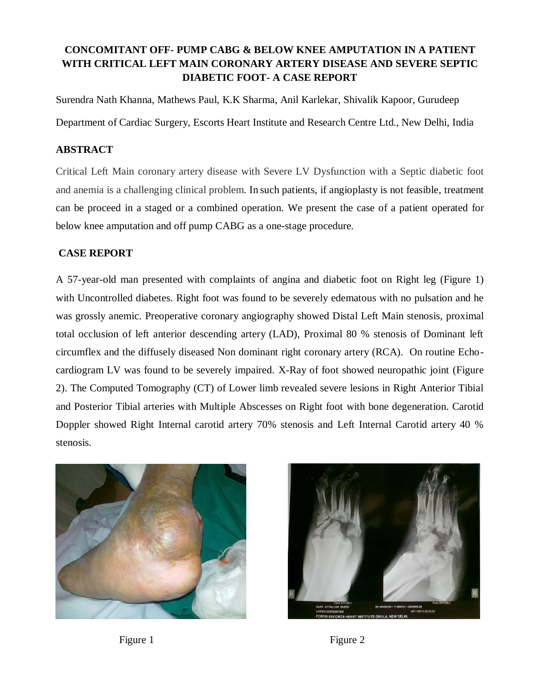# **CONCOMITANT OFF- PUMP CABG & BELOW KNEE AMPUTATION IN A PATIENT WITH CRITICAL LEFT MAIN CORONARY ARTERY DISEASE AND SEVERE SEPTIC DIABETIC FOOT- A CASE REPORT**

Surendra Nath Khanna, Mathews Paul, K.K Sharma, Anil Karlekar, Shivalik Kapoor, Gurudeep Department of Cardiac Surgery, Escorts Heart Institute and Research Centre Ltd., New Delhi, India

## **ABSTRACT**

Critical Left Main coronary artery disease with Severe LV Dysfunction with a Septic diabetic foot and anemia is a challenging clinical problem. In such patients, if angioplasty is not feasible, treatment can be proceed in a staged or a combined operation. We present the case of a patient operated for below knee amputation and off pump CABG as a one-stage procedure.

## **CASE REPORT**

A 57-year-old man presented with complaints of angina and diabetic foot on Right leg (Figure 1) with Uncontrolled diabetes. Right foot was found to be severely edematous with no pulsation and he was grossly anemic. Preoperative coronary angiography showed Distal Left Main stenosis, proximal total occlusion of left anterior descending artery (LAD), Proximal 80 % stenosis of Dominant left circumflex and the diffusely diseased Non dominant right coronary artery (RCA). On routine Echocardiogram LV was found to be severely impaired. X-Ray of foot showed neuropathic joint (Figure 2). The Computed Tomography (CT) of Lower limb revealed severe lesions in Right Anterior Tibial and Posterior Tibial arteries with Multiple Abscesses on Right foot with bone degeneration. Carotid Doppler showed Right Internal carotid artery 70% stenosis and Left Internal Carotid artery 40 % stenosis.





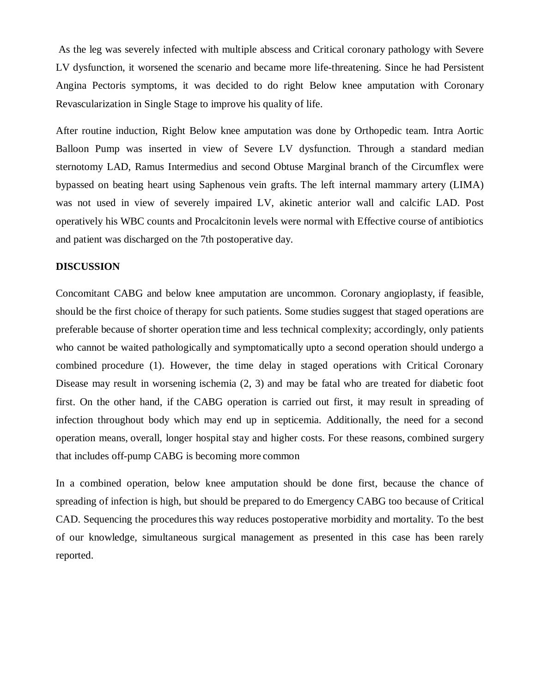As the leg was severely infected with multiple abscess and Critical coronary pathology with Severe LV dysfunction, it worsened the scenario and became more life-threatening. Since he had Persistent Angina Pectoris symptoms, it was decided to do right Below knee amputation with Coronary Revascularization in Single Stage to improve his quality of life.

After routine induction, Right Below knee amputation was done by Orthopedic team. Intra Aortic Balloon Pump was inserted in view of Severe LV dysfunction. Through a standard median sternotomy LAD, Ramus Intermedius and second Obtuse Marginal branch of the Circumflex were bypassed on beating heart using Saphenous vein grafts. The left internal mammary artery (LIMA) was not used in view of severely impaired LV, akinetic anterior wall and calcific LAD. Post operatively his WBC counts and Procalcitonin levels were normal with Effective course of antibiotics and patient was discharged on the 7th postoperative day.

### **DISCUSSION**

Concomitant CABG and below knee amputation are uncommon. Coronary angioplasty, if feasible, should be the first choice of therapy for such patients. Some studies suggest that staged operations are preferable because of shorter operation time and less technical complexity; accordingly, only patients who cannot be waited pathologically and symptomatically upto a second operation should undergo a combined procedure (1). However, the time delay in staged operations with Critical Coronary Disease may result in worsening ischemia (2, 3) and may be fatal who are treated for diabetic foot first. On the other hand, if the CABG operation is carried out first, it may result in spreading of infection throughout body which may end up in septicemia. Additionally, the need for a second operation means, overall, longer hospital stay and higher costs. For these reasons, combined surgery that includes off-pump CABG is becoming more common

In a combined operation, below knee amputation should be done first, because the chance of spreading of infection is high, but should be prepared to do Emergency CABG too because of Critical CAD. Sequencing the procedures this way reduces postoperative morbidity and mortality. To the best of our knowledge, simultaneous surgical management as presented in this case has been rarely reported.